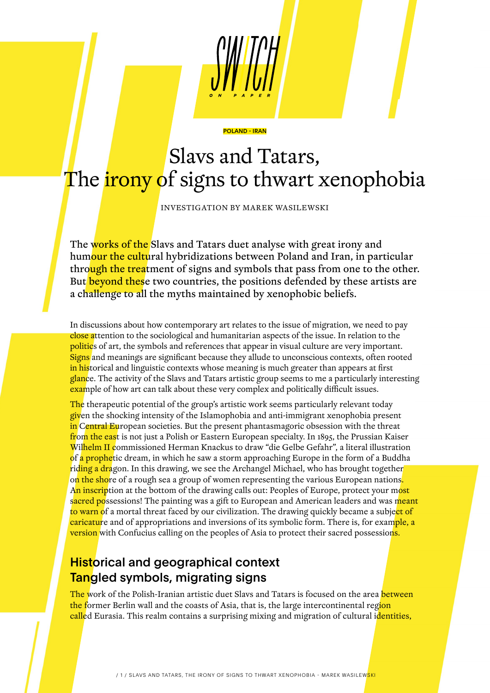# POLAND - IRAN

# Slavs and Tatars, The *irony* of signs to thwart xenophobia

INVESTIGATION BY MAREK WASILEWSKI

The works of the Slavs and Tatars duet analyse with great irony and humour the cultural hybridizations between Poland and Iran, in particular through the treatment of signs and symbols that pass from one to the other. But beyond these two countries, the positions defended by these artists are a challenge to all the myths maintained by xenophobic beliefs.

In discussions about how contemporary art relates to the issue of migration, we need to pay close attention to the sociological and humanitarian aspects of the issue. In relation to the politics of art, the symbols and references that appear in visual culture are very important. Signs and meanings are significant because they allude to unconscious contexts, often rooted in historical and linguistic contexts whose meaning is much greater than appears at first glance. The activity of the Slavs and Tatars artistic group seems to me a particularly interesting example of how art can talk about these very complex and politically difficult issues.

The therapeutic potential of the group's artistic work seems particularly relevant today given the shocking intensity of the Islamophobia and anti-immigrant xenophobia present in Central European societies. But the present phantasmagoric obsession with the threat from the east is not just a Polish or Eastern European specialty. In 1895, the Prussian Kaiser Wilhelm II commissioned Herman Knackus to draw "die Gelbe Gefahr", a literal illustration of a prophetic dream, in which he saw a storm approaching Europe in the form of a Buddha riding a dragon. In this drawing, we see the Archangel Michael, who has brought together on the shore of a rough sea a group of women representing the various European nations. An inscription at the bottom of the drawing calls out: Peoples of Europe, protect your most sacred possessions! The painting was a gift to European and American leaders and was meant to warn of a mortal threat faced by our civilization. The drawing quickly became a subject of caricature and of appropriations and inversions of its symbolic form. There is, for example, a **version** with Confucius calling on the peoples of Asia to protect their sacred possession<mark>s.</mark>

# **Historical and geographical context** Tangled symbols, migrating signs

The work of the Polish-Iranian artistic duet Slavs and Tatars is focused on the area between the former Berlin wall and the coasts of Asia, that is, the large intercontinental region called Eurasia. This realm contains a surprising mixing and migration of cultural i<mark>dentities,</mark>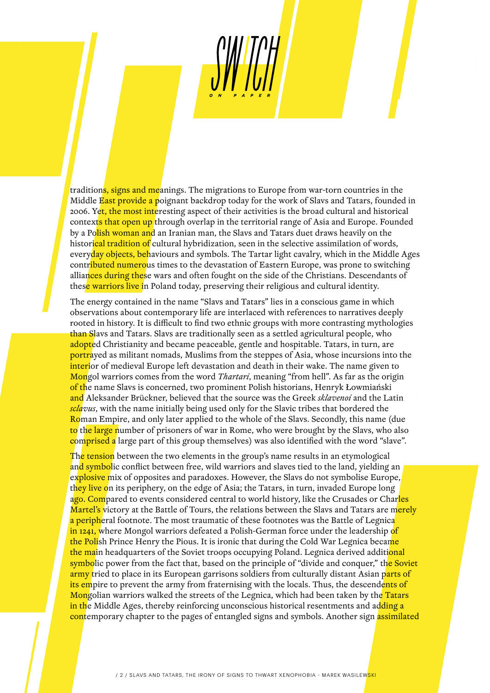traditions, signs and meanings. The migrations to Europe from war-torn countries in the Middle East provide a poignant backdrop today for the work of Slavs and Tatars, founded in 2006. Yet, the most interesting aspect of their activities is the broad cultural and historical contexts that open up through overlap in the territorial range of Asia and Europe. Founded by a Polish woman and an Iranian man, the Slavs and Tatars duet draws heavily on the historical tradition of cultural hybridization, seen in the selective assimilation of words, everyday objects, behaviours and symbols. The Tartar light cavalry, which in the Middle Ages contributed numerous times to the devastation of Eastern Europe, was prone to switching alliances during these wars and often fought on the side of the Christians. Descendants of these warriors live in Poland today, preserving their religious and cultural identity.

The energy contained in the name "Slavs and Tatars" lies in a conscious game in which observations about contemporary life are interlaced with references to narratives deeply rooted in history. It is difficult to find two ethnic groups with more contrasting mythologies than Slavs and Tatars. Slavs are traditionally seen as a settled agricultural people, who adopted Christianity and became peaceable, gentle and hospitable. Tatars, in turn, are portrayed as militant nomads, Muslims from the steppes of Asia, whose incursions into the interior of medieval Europe left devastation and death in their wake. The name given to Mongol warriors comes from the word *Thartari*, meaning "from hell". As far as the origin of the name Slavs is concerned, two prominent Polish historians, Henryk Łowmiański and Aleksander Brückner, believed that the source was the Greek *sklavenoi* and the Latin *sclavus*, with the name initially being used only for the Slavic tribes that bordered the Roman Empire, and only later applied to the whole of the Slavs. Secondly, this name (due to the large number of prisoners of war in Rome, who were brought by the Slavs, who also comprised a large part of this group themselves) was also identified with the word "slave".

The tension between the two elements in the group's name results in an etymological and symbolic conflict between free, wild warriors and slaves tied to the land, yielding an explosive mix of opposites and paradoxes. However, the Slavs do not symbolise Europe, they live on its periphery, on the edge of Asia; the Tatars, in turn, invaded Europe long ago. Compared to events considered central to world history, like the Crusades or Charles Martel's victory at the Battle of Tours, the relations between the Slavs and Tatars are merely a peripheral footnote. The most traumatic of these footnotes was the Battle of Legnica in 1241, where Mongol warriors defeated a Polish-German force under the leadership of the Polish Prince Henry the Pious. It is ironic that during the Cold War Legnica became the main headquarters of the Soviet troops occupying Poland. Legnica derived additional symbolic power from the fact that, based on the principle of "divide and conquer," the Soviet army tried to place in its European garrisons soldiers from culturally distant Asian parts of its empire to prevent the army from fraternising with the locals. Thus, the descendents of Mongolian warriors walked the streets of the Legnica, which had been taken by the Tatars in the Middle Ages, thereby reinforcing unconscious historical resentments and adding a contemporary chapter to the pages of entangled signs and symbols. Another sign assimilated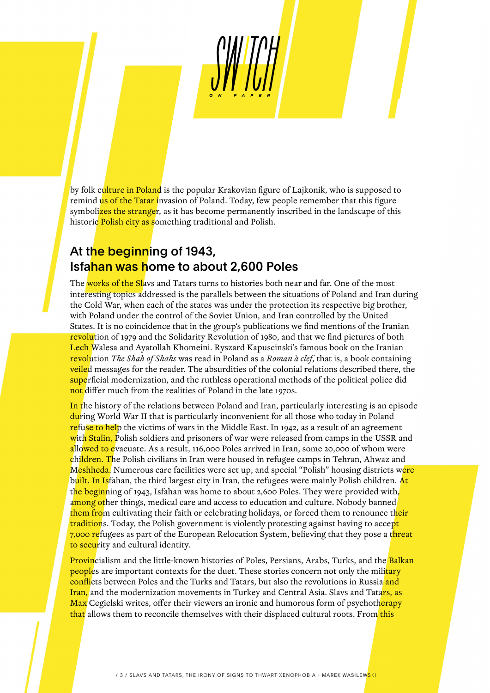by folk culture in Poland is the popular Krakovian figure of Lajkonik, who is supposed to remind us of the Tatar invasion of Poland. Today, few people remember that this figure symbolizes the stranger, as it has become permanently inscribed in the landscape of this historic Polish city as something traditional and Polish.

#### At the beginning of 1943, Isfahan was home to about 2,600 Poles

The works of the Slavs and Tatars turns to histories both near and far. One of the most interesting topics addressed is the parallels between the situations of Poland and Iran during the Cold War, when each of the states was under the protection its respective big brother, with Poland under the control of the Soviet Union, and Iran controlled by the United States. It is no coincidence that in the group's publications we find mentions of the Iranian revolution of 1979 and the Solidarity Revolution of 1980, and that we find pictures of both Lech Walesa and Ayatollah Khomeini. Ryszard Kapuscinski's famous book on the Iranian revolution *The Shah of Shahs* was read in Poland as a *Roman à clef*, that is, a book containing **veiled** messages for the reader. The absurdities of the colonial relations described there, the superficial modernization, and the ruthless operational methods of the political police did not differ much from the realities of Poland in the late 1970s.

In the history of the relations between Poland and Iran, particularly interesting is an episode during World War II that is particularly inconvenient for all those who today in Poland refuse to help the victims of wars in the Middle East. In 1942, as a result of an agreement with Stalin, Polish soldiers and prisoners of war were released from camps in the USSR and allowed to evacuate. As a result, 116,000 Poles arrived in Iran, some 20,000 of whom were children. The Polish civilians in Iran were housed in refugee camps in Tehran, Ahwaz and Meshheda. Numerous care facilities were set up, and special "Polish" housing districts were built. In Isfahan, the third largest city in Iran, the refugees were mainly Polish children. At the beginning of 1943, Isfahan was home to about 2,600 Poles. They were provided with, among other things, medical care and access to education and culture. Nobody banned them from cultivating their faith or celebrating holidays, or forced them to renounce their traditions. Today, the Polish government is violently protesting against having to accept 7,000 refugees as part of the European Relocation System, believing that they pose a t<mark>hreat</mark> to security and cultural identity.

Provincialism and the little-known histories of Poles, Persians, Arabs, Turks, and the Balkan peoples are important contexts for the duet. These stories concern not only the military conflicts between Poles and the Turks and Tatars, but also the revolutions in Russia and Iran, and the modernization movements in Turkey and Central Asia. Slavs and Tatars, as Max Cegielski writes, offer their viewers an ironic and humorous form of psychotherapy that allows them to reconcile themselves with their displaced cultural roots. From this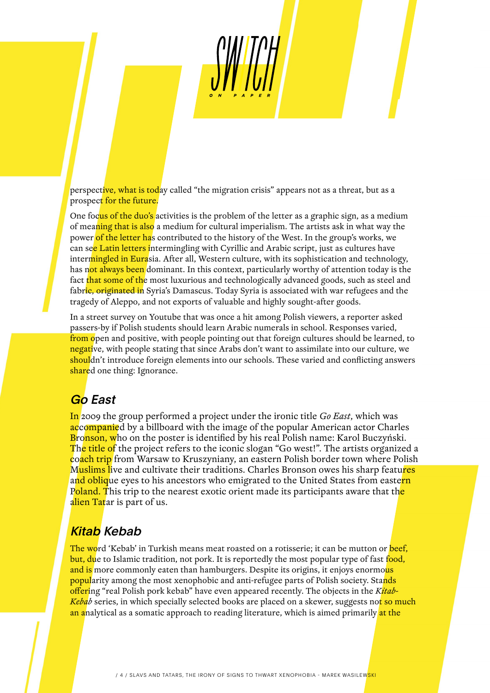perspective, what is today called "the migration crisis" appears not as a threat, but as a prospect for the future.

One focus of the duo's activities is the problem of the letter as a graphic sign, as a medium of meaning that is also a medium for cultural imperialism. The artists ask in what way the power of the letter has contributed to the history of the West. In the group's works, we can see Latin letters intermingling with Cyrillic and Arabic script, just as cultures have intermingled in Eurasia. After all, Western culture, with its sophistication and technology, has not always been dominant. In this context, particularly worthy of attention today is the fact that some of the most luxurious and technologically advanced goods, such as steel and fabric, originated in Syria's Damascus. Today Syria is associated with war refugees and the tragedy of Aleppo, and not exports of valuable and highly sought-after goods.

In a street survey on Youtube that was once a hit among Polish viewers, a reporter asked passers-by if Polish students should learn Arabic numerals in school. Responses varied, from open and positive, with people pointing out that foreign cultures should be learned, to negative, with people stating that since Arabs don't want to assimilate into our culture, we shouldn't introduce foreign elements into our schools. These varied and conflicting answers shared one thing: Ignorance.

## Go East

In 2009 the group performed a project under the ironic title *Go East*, which was accompanied by a billboard with the image of the popular American actor Charles Bronson, who on the poster is identified by his real Polish name: Karol Buczyński. The title of the project refers to the iconic slogan "Go west!". The artists organized a coach trip from Warsaw to Kruszyniany, an eastern Polish border town where Polish Muslims live and cultivate their traditions. Charles Bronson owes his sharp features and oblique eyes to his ancestors who emigrated to the United States from eastern Poland. This trip to the nearest exotic orient made its participants aware that the alien Tatar is part of us.

# Kitab Kebab

The word 'Kebab' in Turkish means meat roasted on a rotisserie; it can be mutton or beef, but, due to Islamic tradition, not pork. It is reportedly the most popular type of fast food, and is more commonly eaten than hamburgers. Despite its origins, it enjoys enormous popularity among the most xenophobic and anti-refugee parts of Polish society. Stands offering "real Polish pork kebab" have even appeared recently. The objects in the *Kitab-Kebab* series, in which specially selected books are placed on a skewer, suggests not so much an analytical as a somatic approach to reading literature, which is aimed primarily at the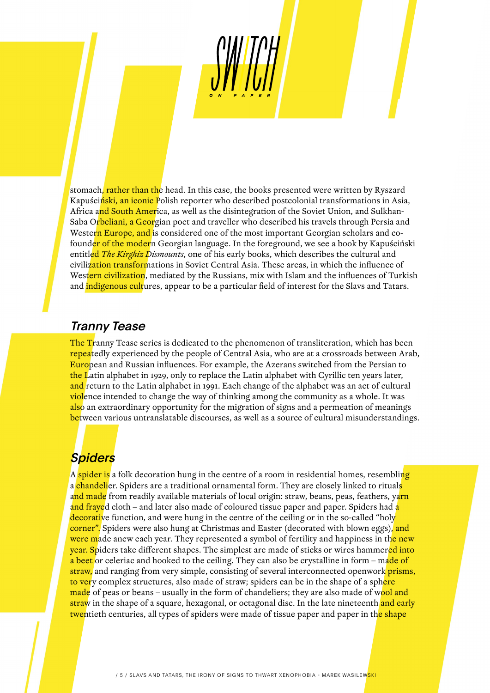stomach, rather than the head. In this case, the books presented were written by Ryszard Kapuściński, an iconic Polish reporter who described postcolonial transformations in Asia, Africa and South America, as well as the disintegration of the Soviet Union, and Sulkhan-Saba Orbeliani, a Georgian poet and traveller who described his travels through Persia and Western Europe, and is considered one of the most important Georgian scholars and cofound<mark>er of the moder</mark>n Georgian language. In the foreground, we see a book by Kapuściński entitled *The Kirghiz Dismounts*, one of his early books, which describes the cultural and civilization transformations in Soviet Central Asia. These areas, in which the influence of Western civilization, mediated by the Russians, mix with Islam and the influences of Turkish and *indigenous cultures*, appear to be a particular field of interest for the Slavs and Tatars.

#### Tranny Tease

The Tranny Tease series is dedicated to the phenomenon of transliteration, which has been repeatedly experienced by the people of Central Asia, who are at a crossroads between Arab, European and Russian influences. For example, the Azerans switched from the Persian to the Latin alphabet in 1929, only to replace the Latin alphabet with Cyrillic ten years later, and return to the Latin alphabet in 1991. Each change of the alphabet was an act of cultural violence intended to change the way of thinking among the community as a whole. It was also an extraordinary opportunity for the migration of signs and a permeation of meanings between various untranslatable discourses, as well as a source of cultural misunderstandings.

## **Spiders**

A spider is a folk decoration hung in the centre of a room in residential homes, resembling a <mark>chandeli</mark>er. Spiders are a traditional ornamental form. They are closely linked to rituals a<mark>nd made</mark> from readily available materials of local origin: straw, beans, peas, feathers, ya<mark>rn</mark> and frayed cloth – and later also made of coloured tissue paper and paper. Spiders had a decorative function, and were hung in the centre of the ceiling or in the so-called "holy" corner". Spiders were also hung at Christmas and Easter (decorated with blown eggs), and were made anew each year. They represented a symbol of fertility and happiness in the new year. Spiders take different shapes. The simplest are made of sticks or wires hammered into a beet or celeriac and hooked to the ceiling. They can also be crystalline in form – made of straw, and ranging from very simple, consisting of several interconnected openwork prisms, to very complex structures, also made of straw; spiders can be in the shape of a sphere made of peas or beans – usually in the form of chandeliers; they are also made of wool and straw in the shape of a square, hexagonal, or octagonal disc. In the late nineteenth and early twentieth centuries, all types of spiders were made of tissue paper and paper in the shape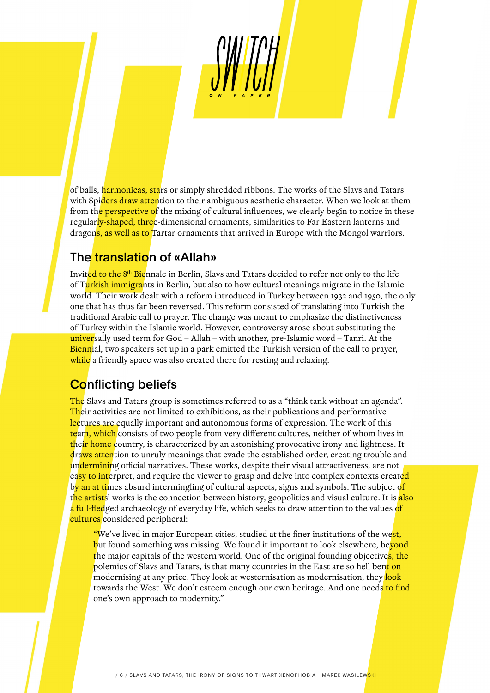of balls, harmonicas, stars or simply shredded ribbons. The works of the Slavs and Tatars with Spiders draw attention to their ambiguous aesthetic character. When we look at them from the perspective of the mixing of cultural influences, we clearly begin to notice in these regularly-shaped, three-dimensional ornaments, similarities to Far Eastern lanterns and dragons, as well as to Tartar ornaments that arrived in Europe with the Mongol warriors.

#### The translation of «Allah»

Invited to the 8<sup>th</sup> Biennale in Berlin, Slavs and Tatars decided to refer not only to the life of Turkish immigrants in Berlin, but also to how cultural meanings migrate in the Islamic world. Their work dealt with a reform introduced in Turkey between 1932 and 1950, the only one that has thus far been reversed. This reform consisted of translating into Turkish the traditional Arabic call to prayer. The change was meant to emphasize the distinctiveness of Turkey within the Islamic world. However, controversy arose about substituting the universally used term for God – Allah – with another, pre-Islamic word – Tanri. At the Biennial, two speakers set up in a park emitted the Turkish version of the call to prayer, while a friendly space was also created there for resting and relaxing.

# Conflicting beliefs

The Slavs and Tatars group is sometimes referred to as a "think tank without an agenda". Their activities are not limited to exhibitions, as their publications and performative lectures are equally important and autonomous forms of expression. The work of this team, which consists of two people from very different cultures, neither of whom lives in their home country, is characterized by an astonishing provocative irony and lightness. It draws attention to unruly meanings that evade the established order, creating trouble and undermining official narratives. These works, despite their visual attractiveness, are not easy to interpret, and require the viewer to grasp and delve into complex contexts created by an at times absurd intermingling of cultural aspects, signs and symbols. The subject of t<mark>he artists</mark>' works is the connection between history, geopolitics and visual culture. It is <mark>also</mark> a full-fledged archaeology of everyday life, which seeks to draw attention to the values of cultures considered peripheral:

"We've lived in major European cities, studied at the finer institutions of the west, but found something was missing. We found it important to look elsewhere, beyond the major capitals of the western world. One of the original founding objectives, the polemics of Slavs and Tatars, is that many countries in the East are so hell bent on modernising at any price. They look at westernisation as modernisation, they look towards the West. We don't esteem enough our own heritage. And one needs to find one's own approach to modernity."